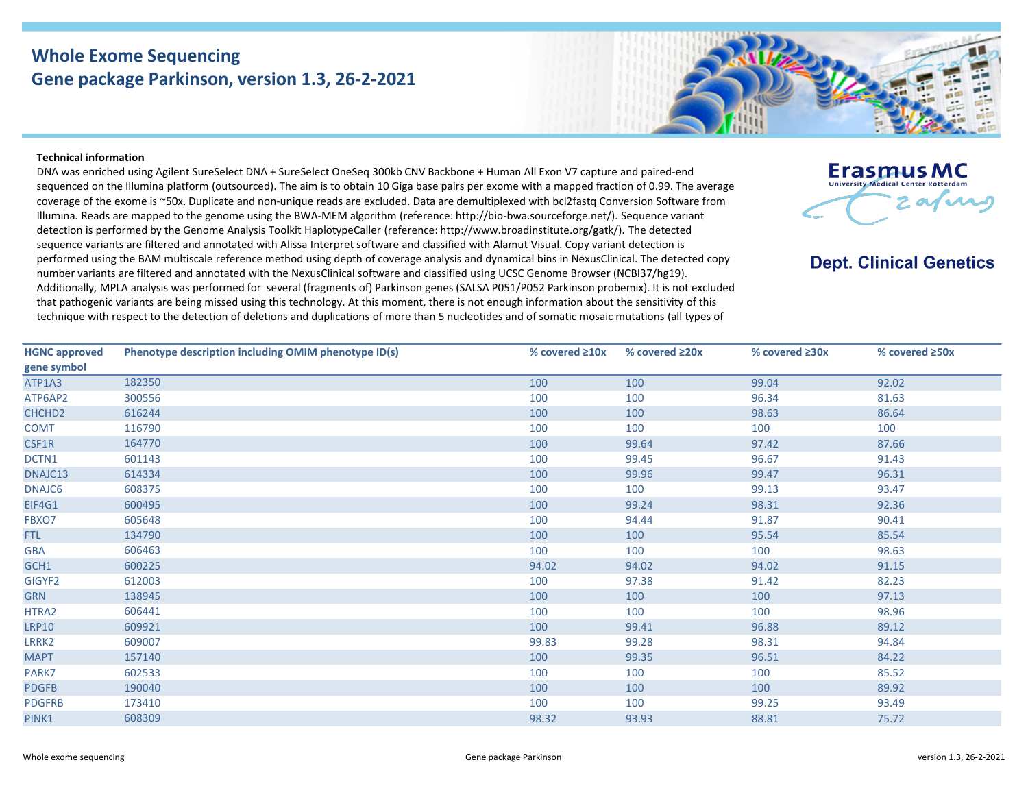## **Whole Exome Sequencing Gene package Parkinson, version 1.3, 26-2-2021**

## **Technical information**

DNA was enriched using Agilent SureSelect DNA + SureSelect OneSeq 300kb CNV Backbone + Human All Exon V7 capture and paired-end sequenced on the Illumina platform (outsourced). The aim is to obtain 10 Giga base pairs per exome with a mapped fraction of 0.99. The average coverage of the exome is ~50x. Duplicate and non-unique reads are excluded. Data are demultiplexed with bcl2fastq Conversion Software from Illumina. Reads are mapped to the genome using the BWA-MEM algorithm (reference: http://bio-bwa.sourceforge.net/). Sequence variant detection is performed by the Genome Analysis Toolkit HaplotypeCaller (reference: http://www.broadinstitute.org/gatk/). The detected sequence variants are filtered and annotated with Alissa Interpret software and classified with Alamut Visual. Copy variant detection is performed using the BAM multiscale reference method using depth of coverage analysis and dynamical bins in NexusClinical. The detected copy number variants are filtered and annotated with the NexusClinical software and classified using UCSC Genome Browser (NCBI37/hg19). Additionally, MPLA analysis was performed for several (fragments of) Parkinson genes (SALSA P051/P052 Parkinson probemix). It is not excluded that pathogenic variants are being missed using this technology. At this moment, there is not enough information about the sensitivity of this technique with respect to the detection of deletions and duplications of more than 5 nucleotides and of somatic mosaic mutations (all types of



## **Dept. Clinical Genetics**

| Phenotype description including OMIM phenotype ID(s) | % covered $\geq 10x$ | % covered ≥20x | % covered ≥30x | % covered ≥50x |
|------------------------------------------------------|----------------------|----------------|----------------|----------------|
|                                                      |                      |                |                |                |
| 182350                                               | 100                  | 100            | 99.04          | 92.02          |
| 300556                                               | 100                  | 100            | 96.34          | 81.63          |
| 616244                                               | 100                  | 100            | 98.63          | 86.64          |
| 116790                                               | 100                  | 100            | 100            | 100            |
| 164770                                               | 100                  | 99.64          | 97.42          | 87.66          |
| 601143                                               | 100                  | 99.45          | 96.67          | 91.43          |
| 614334                                               | 100                  | 99.96          | 99.47          | 96.31          |
| 608375                                               | 100                  | 100            | 99.13          | 93.47          |
| 600495                                               | 100                  | 99.24          | 98.31          | 92.36          |
| 605648                                               | 100                  | 94.44          | 91.87          | 90.41          |
| 134790                                               | 100                  | 100            | 95.54          | 85.54          |
| 606463                                               | 100                  | 100            | 100            | 98.63          |
| 600225                                               | 94.02                | 94.02          | 94.02          | 91.15          |
| 612003                                               | 100                  | 97.38          | 91.42          | 82.23          |
| 138945                                               | 100                  | 100            | 100            | 97.13          |
| 606441                                               | 100                  | 100            | 100            | 98.96          |
| 609921                                               | 100                  | 99.41          | 96.88          | 89.12          |
| 609007                                               | 99.83                | 99.28          | 98.31          | 94.84          |
| 157140                                               | 100                  | 99.35          | 96.51          | 84.22          |
| 602533                                               | 100                  | 100            | 100            | 85.52          |
| 190040                                               | 100                  | 100            | 100            | 89.92          |
| 173410                                               | 100                  | 100            | 99.25          | 93.49          |
| 608309                                               | 98.32                | 93.93          | 88.81          | 75.72          |
|                                                      |                      |                |                |                |